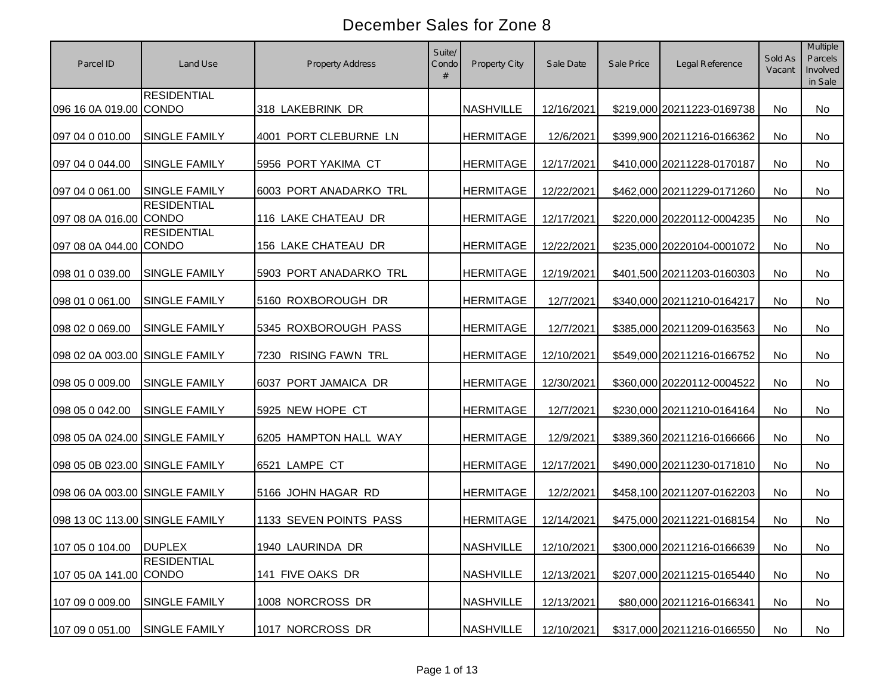| Parcel ID                      | Land Use             | Property Address               | Suite/<br>Condo<br># | Property City    | Sale Date  | Sale Price | Legal Reference            | Sold As<br>Vacant | <b>Multiple</b><br>Parcels<br>Involved<br>in Sale |
|--------------------------------|----------------------|--------------------------------|----------------------|------------------|------------|------------|----------------------------|-------------------|---------------------------------------------------|
| 096 16 0A 019.00 CONDO         | <b>RESIDENTIAL</b>   | 318 LAKEBRINK DR               |                      | <b>NASHVILLE</b> | 12/16/2021 |            | \$219,000 20211223-0169738 | No                | <b>No</b>                                         |
| 097 04 0 010.00                | <b>SINGLE FAMILY</b> | 4001 PORT CLEBURNE LN          |                      | <b>HERMITAGE</b> | 12/6/2021  |            | \$399,900 20211216-0166362 | No                | <b>No</b>                                         |
| 097 04 0 044.00                | SINGLE FAMILY        | 5956 PORT YAKIMA CT            |                      | <b>HERMITAGE</b> | 12/17/2021 |            | \$410,000 20211228-0170187 | No                | <b>No</b>                                         |
| 097 04 0 061.00                | <b>SINGLE FAMILY</b> | 6003 PORT ANADARKO TRL         |                      | <b>HERMITAGE</b> | 12/22/2021 |            | \$462,000 20211229-0171260 | No                | <b>No</b>                                         |
| 097 08 0A 016.00 CONDO         | <b>RESIDENTIAL</b>   | 116 LAKE CHATEAU DR            |                      | <b>HERMITAGE</b> | 12/17/2021 |            | \$220,000 20220112-0004235 | No                | <b>No</b>                                         |
| 097 08 0A 044.00 CONDO         | <b>RESIDENTIAL</b>   | 156 LAKE CHATEAU DR            |                      | <b>HERMITAGE</b> | 12/22/2021 |            | \$235,000 20220104-0001072 | No                | <b>No</b>                                         |
| 098 01 0 039.00                | <b>SINGLE FAMILY</b> | 5903 PORT ANADARKO TRL         |                      | <b>HERMITAGE</b> | 12/19/2021 |            | \$401,500 20211203-0160303 | No                | No                                                |
| 098 01 0 061.00                | <b>SINGLE FAMILY</b> | 5160 ROXBOROUGH DR             |                      | <b>HERMITAGE</b> | 12/7/2021  |            | \$340,000 20211210-0164217 | No                | No                                                |
| 098 02 0 069.00                | <b>SINGLE FAMILY</b> | 5345 ROXBOROUGH PASS           |                      | <b>HERMITAGE</b> | 12/7/2021  |            | \$385,000 20211209-0163563 | No                | <b>No</b>                                         |
| 098 02 0A 003.00 SINGLE FAMILY |                      | <b>RISING FAWN TRL</b><br>7230 |                      | <b>HERMITAGE</b> | 12/10/2021 |            | \$549,000 20211216-0166752 | No                | No                                                |
| 098 05 0 009.00                | SINGLE FAMILY        | 6037 PORT JAMAICA DR           |                      | <b>HERMITAGE</b> | 12/30/2021 |            | \$360,000 20220112-0004522 | No                | No                                                |
| 098 05 0 042.00                | <b>SINGLE FAMILY</b> | 5925 NEW HOPE CT               |                      | <b>HERMITAGE</b> | 12/7/2021  |            | \$230,000 20211210-0164164 | No                | <b>No</b>                                         |
| 098 05 0A 024.00 SINGLE FAMILY |                      | 6205 HAMPTON HALL WAY          |                      | <b>HERMITAGE</b> | 12/9/2021  |            | \$389,360 20211216-0166666 | No                | No                                                |
| 098 05 0B 023.00 SINGLE FAMILY |                      | 6521 LAMPE CT                  |                      | <b>HERMITAGE</b> | 12/17/2021 |            | \$490,000 20211230-0171810 | <b>No</b>         | No                                                |
| 098 06 0A 003.00 SINGLE FAMILY |                      | 5166 JOHN HAGAR RD             |                      | <b>HERMITAGE</b> | 12/2/2021  |            | \$458,100 20211207-0162203 | <b>No</b>         | No                                                |
| 098 13 0C 113.00 SINGLE FAMILY |                      | 1133 SEVEN POINTS PASS         |                      | <b>HERMITAGE</b> | 12/14/2021 |            | \$475,000 20211221-0168154 | <b>No</b>         | No                                                |
| 107 05 0 104.00 DUPLEX         |                      | 1940 LAURINDA DR               |                      | NASHVILLE        | 12/10/2021 |            | \$300,000 20211216-0166639 | No                | No                                                |
| 107 05 0A 141.00 CONDO         | <b>RESIDENTIAL</b>   | 141 FIVE OAKS DR               |                      | <b>NASHVILLE</b> | 12/13/2021 |            | \$207,000 20211215-0165440 | No                | No                                                |
| 107 09 0 009.00                | <b>SINGLE FAMILY</b> | 1008 NORCROSS DR               |                      | <b>NASHVILLE</b> | 12/13/2021 |            | \$80,000 20211216-0166341  | No                | No                                                |
| 107 09 0 051.00                | <b>SINGLE FAMILY</b> | 1017 NORCROSS DR               |                      | <b>NASHVILLE</b> | 12/10/2021 |            | \$317,000 20211216-0166550 | No                | No                                                |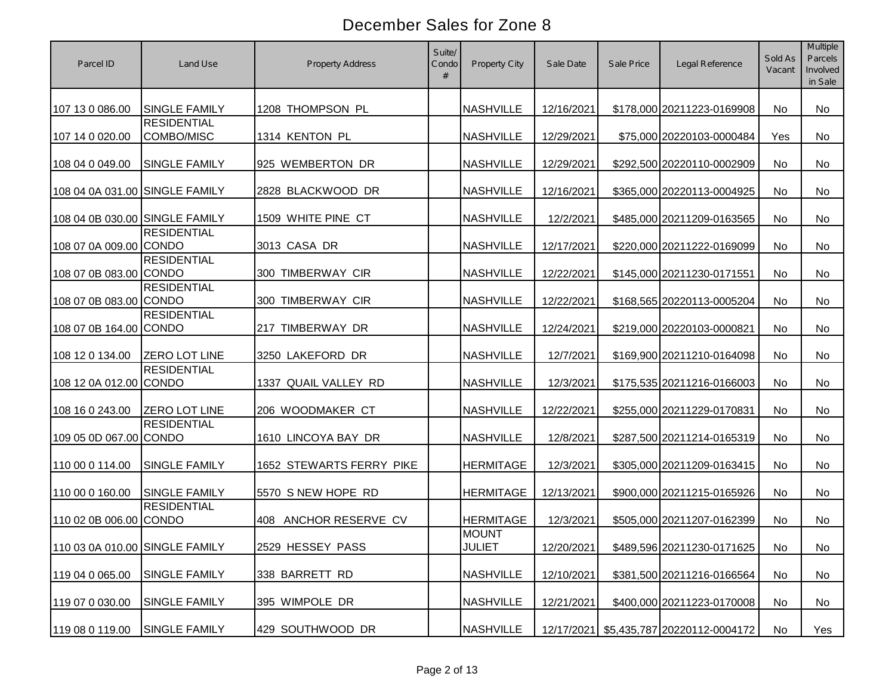| Parcel ID                      | Land Use                           | Property Address         | Suite/<br>Condo<br># | <b>Property City</b>          | Sale Date  | Sale Price | Legal Reference              | Sold As<br>Vacant | <b>Multiple</b><br>Parcels<br>Involved<br>in Sale |
|--------------------------------|------------------------------------|--------------------------|----------------------|-------------------------------|------------|------------|------------------------------|-------------------|---------------------------------------------------|
| 107 13 0 086.00                | <b>SINGLE FAMILY</b>               | 1208 THOMPSON PL         |                      | <b>NASHVILLE</b>              | 12/16/2021 |            | \$178,000 20211223-0169908   | No                | No                                                |
| 107 14 0 020.00                | <b>RESIDENTIAL</b><br>COMBO/MISC   | 1314 KENTON PL           |                      | <b>NASHVILLE</b>              | 12/29/2021 |            | \$75,000 20220103-0000484    | Yes               | No                                                |
| 108 04 0 049.00                | SINGLE FAMILY                      | 925 WEMBERTON DR         |                      | <b>NASHVILLE</b>              | 12/29/2021 |            | \$292,500 20220110-0002909   | No                | No                                                |
| 108 04 0A 031.00 SINGLE FAMILY |                                    | 2828 BLACKWOOD DR        |                      | <b>NASHVILLE</b>              | 12/16/2021 |            | \$365,000 20220113-0004925   | No                | No                                                |
| 108 04 0B 030.00 SINGLE FAMILY |                                    | 1509 WHITE PINE CT       |                      | <b>NASHVILLE</b>              | 12/2/2021  |            | \$485,000 20211209-0163565   | No                | No                                                |
| 108 07 0A 009.00 CONDO         | <b>RESIDENTIAL</b>                 | 3013 CASA DR             |                      | <b>NASHVILLE</b>              | 12/17/2021 |            | \$220,000 20211222-0169099   | No                | No                                                |
| 108 07 0B 083.00 CONDO         | <b>RESIDENTIAL</b>                 | 300 TIMBERWAY CIR        |                      | <b>NASHVILLE</b>              | 12/22/2021 |            | \$145,000 20211230-0171551   | No                | No                                                |
| 108 07 0B 083.00 CONDO         | <b>RESIDENTIAL</b>                 | 300 TIMBERWAY CIR        |                      | <b>NASHVILLE</b>              | 12/22/2021 |            | \$168,565 20220113-0005204   | No                | No                                                |
| 108 07 0B 164.00 CONDO         | <b>RESIDENTIAL</b>                 | 217 TIMBERWAY DR         |                      | <b>NASHVILLE</b>              | 12/24/2021 |            | \$219,000 20220103-0000821   | No                | No                                                |
| 108 12 0 134.00                | <b>ZERO LOT LINE</b>               | 3250 LAKEFORD DR         |                      | <b>NASHVILLE</b>              | 12/7/2021  |            | \$169,900 20211210-0164098   | No                | No                                                |
| 108 12 0A 012.00               | <b>RESIDENTIAL</b><br><b>CONDO</b> | 1337 QUAIL VALLEY RD     |                      | <b>NASHVILLE</b>              | 12/3/2021  |            | \$175,535 20211216-0166003   | No                | No                                                |
| 108 16 0 243.00                | ZERO LOT LINE                      | 206 WOODMAKER CT         |                      | <b>NASHVILLE</b>              | 12/22/2021 |            | \$255,000 20211229-0170831   | No                | <b>No</b>                                         |
| 109 05 0D 067.00 CONDO         | <b>RESIDENTIAL</b>                 | 1610 LINCOYA BAY DR      |                      | <b>NASHVILLE</b>              | 12/8/2021  |            | \$287,500 20211214-0165319   | No                | No                                                |
| 110 00 0 114.00                | SINGLE FAMILY                      | 1652 STEWARTS FERRY PIKE |                      | <b>HERMITAGE</b>              | 12/3/2021  |            | \$305,000 20211209-0163415   | No                | No                                                |
| 110 00 0 160.00                | <b>SINGLE FAMILY</b>               | 5570 S NEW HOPE RD       |                      | <b>HERMITAGE</b>              | 12/13/2021 |            | \$900,000 20211215-0165926   | No                | No                                                |
| 110 02 0B 006.00 CONDO         | <b>RESIDENTIAL</b>                 | 408 ANCHOR RESERVE CV    |                      | <b>HERMITAGE</b>              | 12/3/2021  |            | \$505,000 20211207-0162399   | <b>No</b>         | No                                                |
| 110 03 0A 010.00 SINGLE FAMILY |                                    | 2529 HESSEY PASS         |                      | <b>MOUNT</b><br><b>JULIET</b> | 12/20/2021 |            | \$489,596 20211230-0171625   | No                | No                                                |
| 119 04 0 065.00                | <b>SINGLE FAMILY</b>               | 338 BARRETT RD           |                      | <b>NASHVILLE</b>              | 12/10/2021 |            | \$381,500 20211216-0166564   | No                | No                                                |
| 119 07 0 030.00                | <b>SINGLE FAMILY</b>               | 395 WIMPOLE DR           |                      | <b>NASHVILLE</b>              | 12/21/2021 |            | \$400,000 20211223-0170008   | No                | No                                                |
| 119 08 0 119.00                | <b>SINGLE FAMILY</b>               | 429 SOUTHWOOD DR         |                      | <b>NASHVILLE</b>              | 12/17/2021 |            | \$5,435,787 20220112-0004172 | No                | Yes                                               |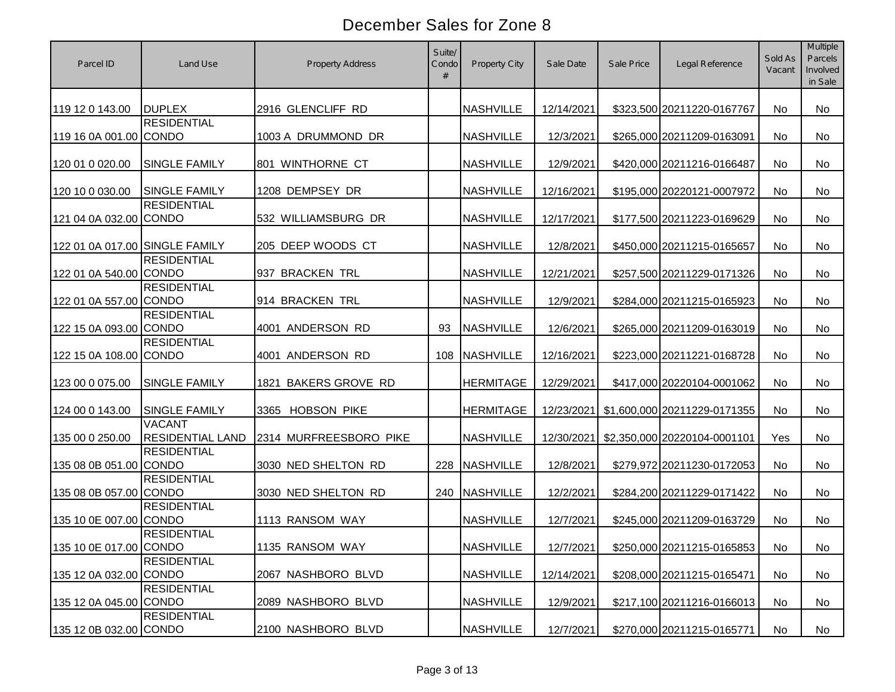| Parcel ID                      | Land Use                                 | Property Address       | Suite/<br>Condo<br># | <b>Property City</b> | Sale Date  | Sale Price | Legal Reference              | Sold As<br>Vacant | <b>Multiple</b><br>Parcels<br>Involved<br>in Sale |
|--------------------------------|------------------------------------------|------------------------|----------------------|----------------------|------------|------------|------------------------------|-------------------|---------------------------------------------------|
| 119 12 0 143.00                | <b>DUPLEX</b>                            | 2916 GLENCLIFF RD      |                      | <b>NASHVILLE</b>     | 12/14/2021 |            | \$323,500 20211220-0167767   | No                | No                                                |
| 119 16 0A 001.00 CONDO         | <b>RESIDENTIAL</b>                       | 1003 A DRUMMOND DR     |                      | <b>NASHVILLE</b>     | 12/3/2021  |            | \$265,000 20211209-0163091   | <b>No</b>         | <b>No</b>                                         |
| 120 01 0 020.00                | <b>SINGLE FAMILY</b>                     | 801 WINTHORNE CT       |                      | <b>NASHVILLE</b>     | 12/9/2021  |            | \$420,000 20211216-0166487   | <b>No</b>         | <b>No</b>                                         |
| 120 10 0 030.00                | <b>SINGLE FAMILY</b>                     | 1208 DEMPSEY DR        |                      | <b>NASHVILLE</b>     | 12/16/2021 |            | \$195,000 20220121-0007972   | No                | No                                                |
| 121 04 0A 032.00 CONDO         | <b>RESIDENTIAL</b>                       | 532 WILLIAMSBURG DR    |                      | <b>NASHVILLE</b>     | 12/17/2021 |            | \$177,500 20211223-0169629   | No                | No                                                |
| 122 01 0A 017.00 SINGLE FAMILY |                                          | 205 DEEP WOODS CT      |                      | <b>NASHVILLE</b>     | 12/8/2021  |            | \$450,000 20211215-0165657   | No                | No                                                |
| 122 01 0A 540.00 CONDO         | <b>RESIDENTIAL</b>                       | 937 BRACKEN TRL        |                      | <b>NASHVILLE</b>     | 12/21/2021 |            | \$257,500 20211229-0171326   | No                | No                                                |
| 122 01 0A 557.00 CONDO         | <b>RESIDENTIAL</b>                       | 914 BRACKEN TRL        |                      | <b>NASHVILLE</b>     | 12/9/2021  |            | \$284,000 20211215-0165923   | No                | <b>No</b>                                         |
| 122 15 0A 093.00 CONDO         | <b>RESIDENTIAL</b>                       | 4001 ANDERSON RD       | 93                   | <b>NASHVILLE</b>     | 12/6/2021  |            | \$265,000 20211209-0163019   | No                | No                                                |
| 122 15 0A 108.00 CONDO         | <b>RESIDENTIAL</b>                       | 4001 ANDERSON RD       | 108                  | <b>NASHVILLE</b>     | 12/16/2021 |            | \$223,000 20211221-0168728   | No                | No                                                |
| 123 00 0 075.00                | <b>SINGLE FAMILY</b>                     | 1821 BAKERS GROVE RD   |                      | <b>HERMITAGE</b>     | 12/29/2021 |            | \$417,000 20220104-0001062   | No                | No                                                |
| 124 00 0 143.00                | <b>SINGLE FAMILY</b>                     | 3365 HOBSON PIKE       |                      | <b>HERMITAGE</b>     | 12/23/2021 |            | \$1,600,000 20211229-0171355 | No                | No                                                |
| 135 00 0 250.00                | <b>VACANT</b><br><b>RESIDENTIAL LAND</b> | 2314 MURFREESBORO PIKE |                      | <b>NASHVILLE</b>     | 12/30/2021 |            | \$2,350,000 20220104-0001101 | Yes               | No                                                |
| 135 08 0B 051.00 CONDO         | <b>RESIDENTIAL</b>                       | 3030 NED SHELTON RD    | 228                  | <b>NASHVILLE</b>     | 12/8/2021  |            | \$279,972 20211230-0172053   | <b>No</b>         | <b>No</b>                                         |
| 135 08 0B 057.00               | <b>RESIDENTIAL</b><br><b>CONDO</b>       | 3030 NED SHELTON RD    | 240                  | <b>NASHVILLE</b>     | 12/2/2021  |            | \$284,200 20211229-0171422   | No                | <b>No</b>                                         |
| 135 10 0E 007.00               | <b>RESIDENTIAL</b><br><b>CONDO</b>       | 1113 RANSOM WAY        |                      | <b>NASHVILLE</b>     | 12/7/2021  |            | \$245,000 20211209-0163729   | No                | No                                                |
| 135 10 0E 017.00 CONDO         | <b>RESIDENTIAL</b>                       | 1135 RANSOM WAY        |                      | <b>NASHVILLE</b>     | 12/7/2021  |            | \$250,000 20211215-0165853   | No                | No                                                |
| 135 12 0A 032.00 CONDO         | <b>RESIDENTIAL</b>                       | 2067 NASHBORO BLVD     |                      | <b>NASHVILLE</b>     | 12/14/2021 |            | \$208,000 20211215-0165471   | No                | No                                                |
| 135 12 0A 045.00 CONDO         | <b>RESIDENTIAL</b>                       | 2089 NASHBORO BLVD     |                      | <b>NASHVILLE</b>     | 12/9/2021  |            | \$217,100 20211216-0166013   | No                | No                                                |
| 135 12 0B 032.00 CONDO         | <b>RESIDENTIAL</b>                       | 2100 NASHBORO BLVD     |                      | NASHVILLE            | 12/7/2021  |            | \$270,000 20211215-0165771   | No                | No                                                |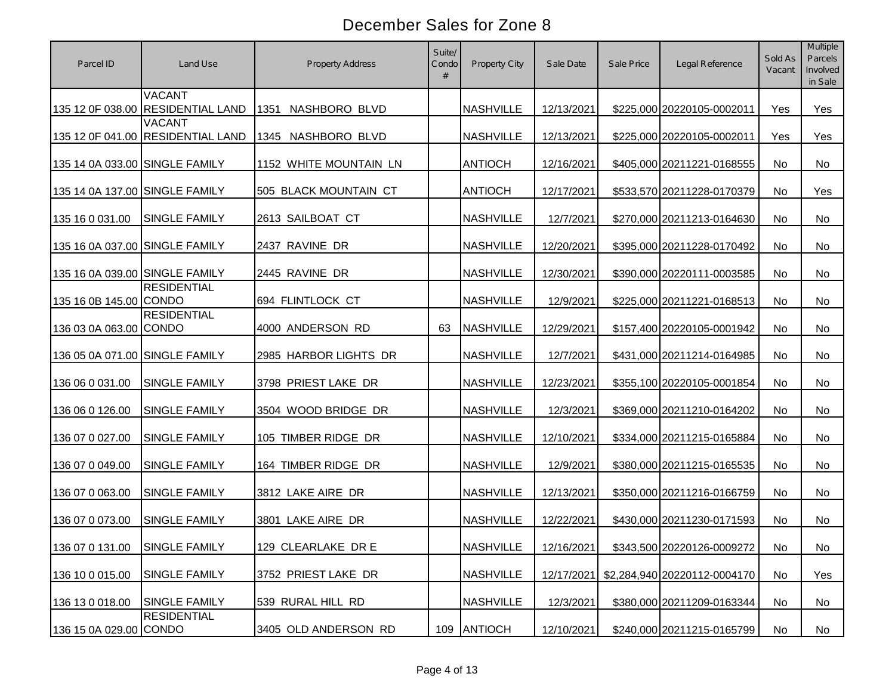| Parcel ID                      | Land Use                                           | Property Address       | Suite/<br>Condo<br># | Property City    | Sale Date  | Sale Price | Legal Reference              | Sold As<br>Vacant | <b>Multiple</b><br>Parcels<br>Involved<br>in Sale |
|--------------------------------|----------------------------------------------------|------------------------|----------------------|------------------|------------|------------|------------------------------|-------------------|---------------------------------------------------|
|                                | <b>VACANT</b><br>135 12 0F 038.00 RESIDENTIAL LAND | NASHBORO BLVD<br>1351  |                      | <b>NASHVILLE</b> | 12/13/2021 |            | \$225,000 20220105-0002011   | Yes               | Yes                                               |
|                                | <b>VACANT</b><br>135 12 0F 041.00 RESIDENTIAL LAND | NASHBORO BLVD<br>1345  |                      | <b>NASHVILLE</b> | 12/13/2021 |            | \$225,000 20220105-0002011   | Yes               | Yes                                               |
| 135 14 0A 033.00 SINGLE FAMILY |                                                    | 1152 WHITE MOUNTAIN LN |                      | <b>ANTIOCH</b>   | 12/16/2021 |            | \$405,000 20211221-0168555   | No                | No                                                |
| 135 14 0A 137.00 SINGLE FAMILY |                                                    | 505 BLACK MOUNTAIN CT  |                      | <b>ANTIOCH</b>   | 12/17/2021 |            | \$533,570 20211228-0170379   | No                | Yes                                               |
| 135 16 0 031.00                | <b>SINGLE FAMILY</b>                               | 2613 SAILBOAT CT       |                      | <b>NASHVILLE</b> | 12/7/2021  |            | \$270,000 20211213-0164630   | No                | No                                                |
| 135 16 0A 037.00 SINGLE FAMILY |                                                    | 2437 RAVINE DR         |                      | <b>NASHVILLE</b> | 12/20/2021 |            | \$395,000 20211228-0170492   | No                | No                                                |
| 135 16 0A 039.00 SINGLE FAMILY |                                                    | 2445 RAVINE DR         |                      | <b>NASHVILLE</b> | 12/30/2021 |            | \$390,000 20220111-0003585   | No                | No                                                |
| 135 16 0B 145.00 CONDO         | <b>RESIDENTIAL</b>                                 | 694 FLINTLOCK CT       |                      | <b>NASHVILLE</b> | 12/9/2021  |            | \$225,000 20211221-0168513   | No                | No                                                |
| 136 03 0A 063.00 CONDO         | <b>RESIDENTIAL</b>                                 | 4000 ANDERSON RD       | 63                   | <b>NASHVILLE</b> | 12/29/2021 |            | \$157,400 20220105-0001942   | No                | No                                                |
| 136 05 0A 071.00 SINGLE FAMILY |                                                    | 2985 HARBOR LIGHTS DR  |                      | <b>NASHVILLE</b> | 12/7/2021  |            | \$431,000 20211214-0164985   | No                | <b>No</b>                                         |
| 136 06 0 031.00                | SINGLE FAMILY                                      | 3798 PRIEST LAKE DR    |                      | <b>NASHVILLE</b> | 12/23/2021 |            | \$355,100 20220105-0001854   | No                | No                                                |
| 136 06 0 126.00                | SINGLE FAMILY                                      | 3504 WOOD BRIDGE DR    |                      | <b>NASHVILLE</b> | 12/3/2021  |            | \$369,000 20211210-0164202   | No                | No                                                |
| 136 07 0 027.00                | SINGLE FAMILY                                      | 105 TIMBER RIDGE DR    |                      | <b>NASHVILLE</b> | 12/10/2021 |            | \$334,000 20211215-0165884   | <b>No</b>         | No                                                |
| 136 07 0 049.00                | SINGLE FAMILY                                      | 164 TIMBER RIDGE DR    |                      | <b>NASHVILLE</b> | 12/9/2021  |            | \$380,000 20211215-0165535   | <b>No</b>         | No                                                |
| 136 07 0 063.00                | <b>SINGLE FAMILY</b>                               | 3812 LAKE AIRE DR      |                      | <b>NASHVILLE</b> | 12/13/2021 |            | \$350,000 20211216-0166759   | <b>No</b>         | No                                                |
| 136 07 0 073.00                | <b>SINGLE FAMILY</b>                               | 3801 LAKE AIRE DR      |                      | <b>NASHVILLE</b> | 12/22/2021 |            | \$430,000 20211230-0171593   | No                | No                                                |
| 136 07 0 131.00 SINGLE FAMILY  |                                                    | 129 CLEARLAKE DR E     |                      | <b>NASHVILLE</b> | 12/16/2021 |            | \$343,500 20220126-0009272   | No                | No                                                |
| 136 10 0 015.00                | <b>SINGLE FAMILY</b>                               | 3752 PRIEST LAKE DR    |                      | <b>NASHVILLE</b> | 12/17/2021 |            | \$2,284,940 20220112-0004170 | No                | Yes                                               |
| 136 13 0 018.00                | <b>SINGLE FAMILY</b>                               | 539 RURAL HILL RD      |                      | <b>NASHVILLE</b> | 12/3/2021  |            | \$380,000 20211209-0163344   | No                | No                                                |
| 136 15 0A 029.00 CONDO         | <b>RESIDENTIAL</b>                                 | 3405 OLD ANDERSON RD   |                      | 109 ANTIOCH      | 12/10/2021 |            | \$240,000 20211215-0165799   | No                | No                                                |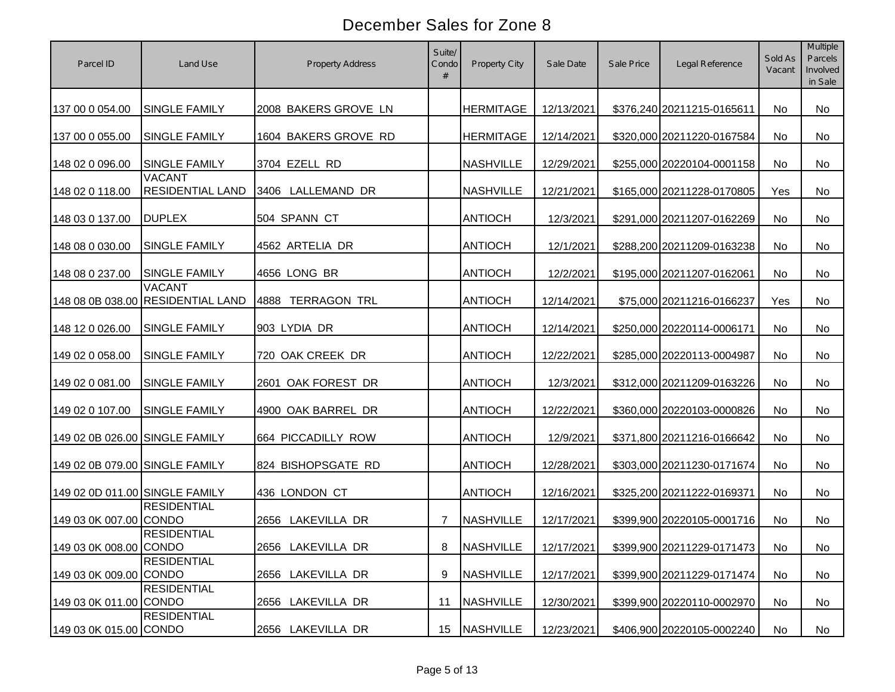| Parcel ID                      | Land Use                                           | Property Address            | Suite/<br>Condo<br># | Property City    | Sale Date  | Sale Price | Legal Reference            | Sold As<br>Vacant | <b>Multiple</b><br>Parcels<br>Involved<br>in Sale |
|--------------------------------|----------------------------------------------------|-----------------------------|----------------------|------------------|------------|------------|----------------------------|-------------------|---------------------------------------------------|
| 137 00 0 054.00                | SINGLE FAMILY                                      | 2008 BAKERS GROVE LN        |                      | <b>HERMITAGE</b> | 12/13/2021 |            | \$376,240 20211215-0165611 | No                | No                                                |
| 137 00 0 055.00                | SINGLE FAMILY                                      | 1604 BAKERS GROVE RD        |                      | <b>HERMITAGE</b> | 12/14/2021 |            | \$320,000 20211220-0167584 | No                | <b>No</b>                                         |
| 148 02 0 096.00                | <b>SINGLE FAMILY</b>                               | 3704 EZELL RD               |                      | <b>NASHVILLE</b> | 12/29/2021 |            | \$255,000 20220104-0001158 | No                | No                                                |
| 148 02 0 118.00                | <b>VACANT</b><br><b>RESIDENTIAL LAND</b>           | 3406 LALLEMAND DR           |                      | <b>NASHVILLE</b> | 12/21/2021 |            | \$165,000 20211228-0170805 | Yes               | No                                                |
| 148 03 0 137.00                | <b>DUPLEX</b>                                      | 504 SPANN CT                |                      | <b>ANTIOCH</b>   | 12/3/2021  |            | \$291,000 20211207-0162269 | No                | <b>No</b>                                         |
| 148 08 0 030.00                | <b>SINGLE FAMILY</b>                               | 4562 ARTELIA DR             |                      | <b>ANTIOCH</b>   | 12/1/2021  |            | \$288,200 20211209-0163238 | No                | <b>No</b>                                         |
| 148 08 0 237.00                | <b>SINGLE FAMILY</b>                               | 4656 LONG BR                |                      | <b>ANTIOCH</b>   | 12/2/2021  |            | \$195,000 20211207-0162061 | No                | No                                                |
|                                | <b>VACANT</b><br>148 08 0B 038.00 RESIDENTIAL LAND | <b>TERRAGON TRL</b><br>4888 |                      | <b>ANTIOCH</b>   | 12/14/2021 |            | \$75,000 20211216-0166237  | Yes               | No                                                |
| 148 12 0 026.00                | <b>SINGLE FAMILY</b>                               | 903 LYDIA DR                |                      | <b>ANTIOCH</b>   | 12/14/2021 |            | \$250,000 20220114-0006171 | No                | No                                                |
| 149 02 0 058.00                | <b>SINGLE FAMILY</b>                               | 720 OAK CREEK DR            |                      | <b>ANTIOCH</b>   | 12/22/2021 |            | \$285,000 20220113-0004987 | No                | No                                                |
| 149 02 0 081.00                | SINGLE FAMILY                                      | 2601 OAK FOREST DR          |                      | <b>ANTIOCH</b>   | 12/3/2021  |            | \$312,000 20211209-0163226 | No                | No                                                |
| 149 02 0 107.00                | <b>SINGLE FAMILY</b>                               | 4900 OAK BARREL DR          |                      | <b>ANTIOCH</b>   | 12/22/2021 |            | \$360,000 20220103-0000826 | No                | <b>No</b>                                         |
| 149 02 0B 026.00 SINGLE FAMILY |                                                    | 664 PICCADILLY ROW          |                      | <b>ANTIOCH</b>   | 12/9/2021  |            | \$371,800 20211216-0166642 | No                | No                                                |
| 149 02 0B 079.00 SINGLE FAMILY |                                                    | 824 BISHOPSGATE RD          |                      | <b>ANTIOCH</b>   | 12/28/2021 |            | \$303,000 20211230-0171674 | No                | No                                                |
| 149 02 0D 011.00 SINGLE FAMILY |                                                    | 436 LONDON CT               |                      | <b>ANTIOCH</b>   | 12/16/2021 |            | \$325,200 20211222-0169371 | No                | No                                                |
| 149 03 0K 007.00 CONDO         | <b>RESIDENTIAL</b>                                 | 2656 LAKEVILLA DR           | $\overline{7}$       | <b>NASHVILLE</b> | 12/17/2021 |            | \$399,900 20220105-0001716 | No                | No                                                |
| 149 03 0K 008.00 CONDO         | <b>RESIDENTIAL</b>                                 | 2656 LAKEVILLA DR           | 8                    | <b>NASHVILLE</b> | 12/17/2021 |            | \$399,900 20211229-0171473 | No                | No                                                |
| 149 03 0K 009.00 CONDO         | <b>RESIDENTIAL</b>                                 | 2656 LAKEVILLA DR           | 9                    | <b>NASHVILLE</b> | 12/17/2021 |            | \$399,900 20211229-0171474 | No                | No                                                |
| 149 03 0K 011.00 CONDO         | <b>RESIDENTIAL</b>                                 | 2656 LAKEVILLA DR           | 11                   | <b>NASHVILLE</b> | 12/30/2021 |            | \$399,900 20220110-0002970 | No                | No                                                |
| 149 03 0K 015.00 CONDO         | <b>RESIDENTIAL</b>                                 | 2656 LAKEVILLA DR           | 15                   | <b>NASHVILLE</b> | 12/23/2021 |            | \$406,900 20220105-0002240 | No                | No                                                |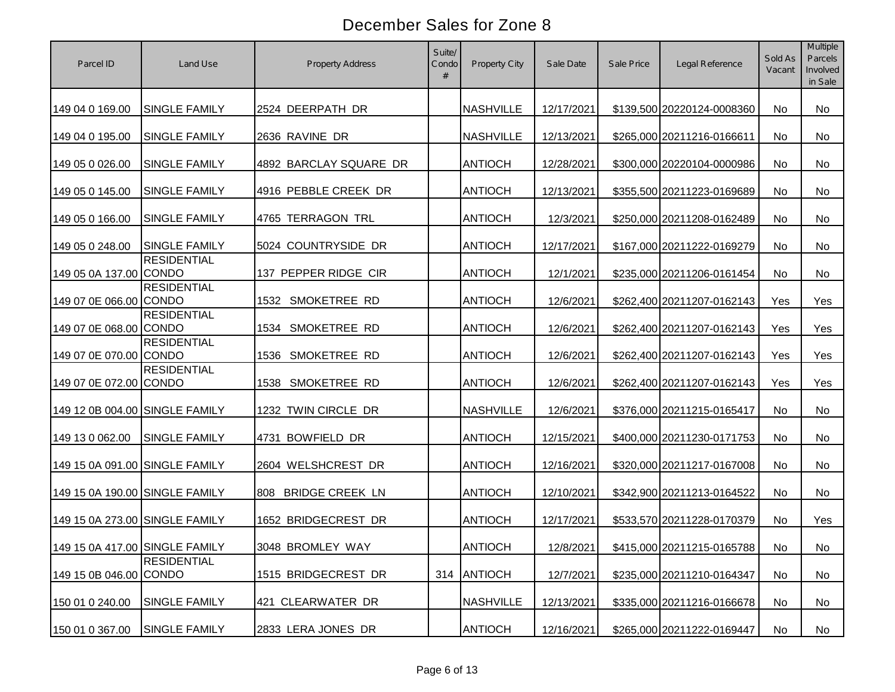| Parcel ID                      | Land Use             | <b>Property Address</b>       | Suite/<br>Condo | Property City    | Sale Date  | Sale Price | Legal Reference            | Sold As<br>Vacant | <b>Multiple</b><br>Parcels<br>Involved<br>in Sale |
|--------------------------------|----------------------|-------------------------------|-----------------|------------------|------------|------------|----------------------------|-------------------|---------------------------------------------------|
| 149 04 0 169.00                | SINGLE FAMILY        | 2524 DEERPATH DR              |                 | <b>NASHVILLE</b> | 12/17/2021 |            | \$139,500 20220124-0008360 | No                | <b>No</b>                                         |
| 149 04 0 195.00                | SINGLE FAMILY        | 2636 RAVINE DR                |                 | <b>NASHVILLE</b> | 12/13/2021 |            | \$265,000 20211216-0166611 | No                | <b>No</b>                                         |
| 149 05 0 026.00                | SINGLE FAMILY        | 4892 BARCLAY SQUARE DR        |                 | <b>ANTIOCH</b>   | 12/28/2021 |            | \$300,000 20220104-0000986 | No                | <b>No</b>                                         |
| 149 05 0 145.00                | SINGLE FAMILY        | 4916 PEBBLE CREEK DR          |                 | <b>ANTIOCH</b>   | 12/13/2021 |            | \$355,500 20211223-0169689 | No                | No                                                |
| 149 05 0 166.00                | SINGLE FAMILY        | 4765 TERRAGON TRL             |                 | <b>ANTIOCH</b>   | 12/3/2021  |            | \$250,000 20211208-0162489 | No                | <b>No</b>                                         |
| 149 05 0 248.00                | <b>SINGLE FAMILY</b> | 5024 COUNTRYSIDE DR           |                 | <b>ANTIOCH</b>   | 12/17/2021 |            | \$167,000 20211222-0169279 | No                | <b>No</b>                                         |
| 149 05 0A 137.00 CONDO         | <b>RESIDENTIAL</b>   | 137 PEPPER RIDGE CIR          |                 | <b>ANTIOCH</b>   | 12/1/2021  |            | \$235,000 20211206-0161454 | No                | No                                                |
| 149 07 0E 066.00 CONDO         | <b>RESIDENTIAL</b>   | 1532 SMOKETREE RD             |                 | <b>ANTIOCH</b>   | 12/6/2021  |            | \$262,400 20211207-0162143 | Yes               | Yes                                               |
| 149 07 0E 068.00 CONDO         | <b>RESIDENTIAL</b>   | SMOKETREE RD<br>1534          |                 | <b>ANTIOCH</b>   | 12/6/2021  |            | \$262,400 20211207-0162143 | Yes               | Yes                                               |
| 149 07 0E 070.00 CONDO         | <b>RESIDENTIAL</b>   | 1536 SMOKETREE RD             |                 | <b>ANTIOCH</b>   | 12/6/2021  |            | \$262,400 20211207-0162143 | Yes               | Yes                                               |
| 149 07 0E 072.00 CONDO         | <b>RESIDENTIAL</b>   | 1538 SMOKETREE RD             |                 | <b>ANTIOCH</b>   | 12/6/2021  |            | \$262,400 20211207-0162143 | Yes               | Yes                                               |
| 149 12 0B 004.00 SINGLE FAMILY |                      | 1232 TWIN CIRCLE DR           |                 | <b>NASHVILLE</b> | 12/6/2021  |            | \$376,000 20211215-0165417 | No                | <b>No</b>                                         |
| 149 13 0 062.00                | <b>SINGLE FAMILY</b> | 4731 BOWFIELD DR              |                 | <b>ANTIOCH</b>   | 12/15/2021 |            | \$400,000 20211230-0171753 | No                | No                                                |
| 149 15 0A 091.00 SINGLE FAMILY |                      | 2604 WELSHCREST DR            |                 | <b>ANTIOCH</b>   | 12/16/2021 |            | \$320,000 20211217-0167008 | No                | No                                                |
| 149 15 0A 190.00 SINGLE FAMILY |                      | <b>BRIDGE CREEK LN</b><br>808 |                 | <b>ANTIOCH</b>   | 12/10/2021 |            | \$342,900 20211213-0164522 | No                | No                                                |
| 149 15 0A 273.00 SINGLE FAMILY |                      | 1652 BRIDGECREST DR           |                 | <b>ANTIOCH</b>   | 12/17/2021 |            | \$533,570 20211228-0170379 | No                | Yes                                               |
| 149 15 0A 417.00 SINGLE FAMILY |                      | 3048 BROMLEY WAY              |                 | <b>ANTIOCH</b>   | 12/8/2021  |            | \$415,000 20211215-0165788 | No                | No                                                |
| 149 15 0B 046.00 CONDO         | <b>RESIDENTIAL</b>   | 1515 BRIDGECREST DR           | 314             | <b>ANTIOCH</b>   | 12/7/2021  |            | \$235,000 20211210-0164347 | No                | No                                                |
| 150 01 0 240.00                | <b>SINGLE FAMILY</b> | 421 CLEARWATER DR             |                 | <b>NASHVILLE</b> | 12/13/2021 |            | \$335,000 20211216-0166678 | No                | No                                                |
| 150 01 0 367.00                | <b>SINGLE FAMILY</b> | 2833 LERA JONES DR            |                 | <b>ANTIOCH</b>   | 12/16/2021 |            | \$265,000 20211222-0169447 | No                | No                                                |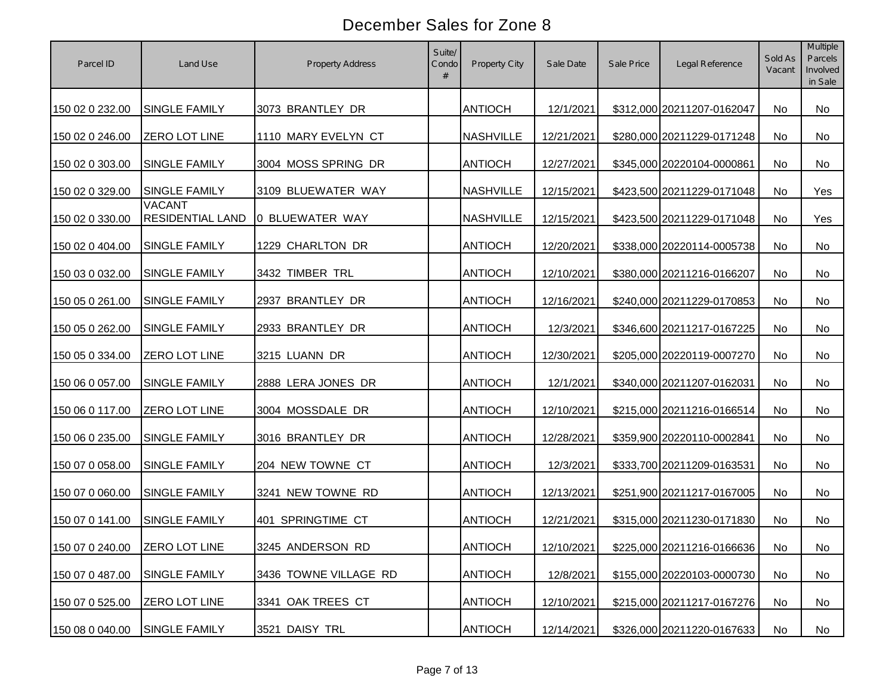| Parcel ID                     | Land Use                          | <b>Property Address</b> | Suite/<br>Condo<br># | Property City    | Sale Date  | Sale Price | Legal Reference            | Sold As<br>Vacant | Multiple<br>Parcels<br>Involved<br>in Sale |
|-------------------------------|-----------------------------------|-------------------------|----------------------|------------------|------------|------------|----------------------------|-------------------|--------------------------------------------|
| 150 02 0 232.00               | SINGLE FAMILY                     | 3073 BRANTLEY DR        |                      | <b>ANTIOCH</b>   | 12/1/2021  |            | \$312,000 20211207-0162047 | No                | No                                         |
| 150 02 0 246.00               | <b>ZERO LOT LINE</b>              | 1110 MARY EVELYN CT     |                      | <b>NASHVILLE</b> | 12/21/2021 |            | \$280,000 20211229-0171248 | No                | No                                         |
| 150 02 0 303.00               | <b>SINGLE FAMILY</b>              | 3004 MOSS SPRING DR     |                      | <b>ANTIOCH</b>   | 12/27/2021 |            | \$345,000 20220104-0000861 | No                | No                                         |
| 150 02 0 329.00               | SINGLE FAMILY                     | 3109 BLUEWATER WAY      |                      | <b>NASHVILLE</b> | 12/15/2021 |            | \$423,500 20211229-0171048 | No                | Yes                                        |
| 150 02 0 330.00               | <b>VACANT</b><br>RESIDENTIAL LAND | 0 BLUEWATER WAY         |                      | <b>NASHVILLE</b> | 12/15/2021 |            | \$423,500 20211229-0171048 | No                | Yes                                        |
| 150 02 0 404.00               | SINGLE FAMILY                     | 1229 CHARLTON DR        |                      | <b>ANTIOCH</b>   | 12/20/2021 |            | \$338,000 20220114-0005738 | No                | No                                         |
| 150 03 0 032.00               | SINGLE FAMILY                     | 3432 TIMBER TRL         |                      | <b>ANTIOCH</b>   | 12/10/2021 |            | \$380,000 20211216-0166207 | No                | No                                         |
| 150 05 0 261.00               | SINGLE FAMILY                     | 2937 BRANTLEY DR        |                      | <b>ANTIOCH</b>   | 12/16/2021 |            | \$240,000 20211229-0170853 | No                | No                                         |
| 150 05 0 262.00               | SINGLE FAMILY                     | 2933 BRANTLEY DR        |                      | <b>ANTIOCH</b>   | 12/3/2021  |            | \$346,600 20211217-0167225 | No                | No                                         |
| 150 05 0 334.00               | ZERO LOT LINE                     | 3215 LUANN DR           |                      | <b>ANTIOCH</b>   | 12/30/2021 |            | \$205,000 20220119-0007270 | No                | No                                         |
| 150 06 0 057.00               | SINGLE FAMILY                     | 2888 LERA JONES DR      |                      | <b>ANTIOCH</b>   | 12/1/2021  |            | \$340,000 20211207-0162031 | No                | No                                         |
| 150 06 0 117.00               | ZERO LOT LINE                     | 3004 MOSSDALE DR        |                      | <b>ANTIOCH</b>   | 12/10/2021 |            | \$215,000 20211216-0166514 | No                | No                                         |
| 150 06 0 235.00               | SINGLE FAMILY                     | 3016 BRANTLEY DR        |                      | <b>ANTIOCH</b>   | 12/28/2021 |            | \$359,900 20220110-0002841 | No                | No                                         |
| 150 07 0 058.00               | SINGLE FAMILY                     | 204 NEW TOWNE CT        |                      | <b>ANTIOCH</b>   | 12/3/2021  |            | \$333,700 20211209-0163531 | No                | No                                         |
| 150 07 0 060.00               | SINGLE FAMILY                     | 3241 NEW TOWNE RD       |                      | <b>ANTIOCH</b>   | 12/13/2021 |            | \$251,900 20211217-0167005 | No                | No                                         |
| 150 07 0 141.00               | SINGLE FAMILY                     | 401 SPRINGTIME CT       |                      | <b>ANTIOCH</b>   | 12/21/2021 |            | \$315,000 20211230-0171830 | <b>No</b>         | No                                         |
| 150 07 0 240.00 ZERO LOT LINE |                                   | 3245 ANDERSON RD        |                      | <b>ANTIOCH</b>   | 12/10/2021 |            | \$225,000 20211216-0166636 | No                | No                                         |
| 150 07 0 487.00               | SINGLE FAMILY                     | 3436 TOWNE VILLAGE RD   |                      | <b>ANTIOCH</b>   | 12/8/2021  |            | \$155,000 20220103-0000730 | No                | No                                         |
| 150 07 0 525.00               | ZERO LOT LINE                     | 3341 OAK TREES CT       |                      | <b>ANTIOCH</b>   | 12/10/2021 |            | \$215,000 20211217-0167276 | No                | No                                         |
| 150 08 0 040.00               | SINGLE FAMILY                     | 3521 DAISY TRL          |                      | <b>ANTIOCH</b>   | 12/14/2021 |            | \$326,000 20211220-0167633 | No                | No                                         |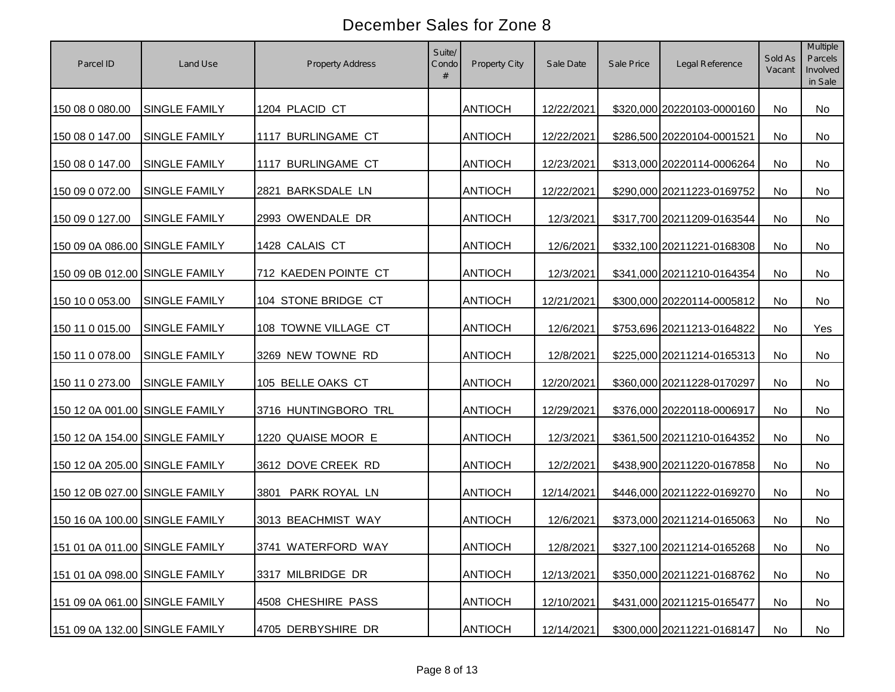| Parcel ID                      | Land Use             | <b>Property Address</b> | Suite/<br>Condo | <b>Property City</b> | Sale Date  | Sale Price | Legal Reference            | Sold As<br>Vacant | <b>Multiple</b><br>Parcels<br>Involved<br>in Sale |
|--------------------------------|----------------------|-------------------------|-----------------|----------------------|------------|------------|----------------------------|-------------------|---------------------------------------------------|
| 150 08 0 080.00                | <b>SINGLE FAMILY</b> | 1204 PLACID CT          |                 | <b>ANTIOCH</b>       | 12/22/2021 |            | \$320,000 20220103-0000160 | No                | No                                                |
| 150 08 0 147.00                | <b>SINGLE FAMILY</b> | 1117 BURLINGAME CT      |                 | <b>ANTIOCH</b>       | 12/22/2021 |            | \$286,500 20220104-0001521 | No                | No                                                |
| 150 08 0 147.00                | SINGLE FAMILY        | 1117 BURLINGAME CT      |                 | <b>ANTIOCH</b>       | 12/23/2021 |            | \$313,000 20220114-0006264 | No                | No                                                |
| 150 09 0 072.00                | SINGLE FAMILY        | 2821 BARKSDALE LN       |                 | <b>ANTIOCH</b>       | 12/22/2021 |            | \$290,000 20211223-0169752 | No                | <b>No</b>                                         |
| 150 09 0 127.00                | <b>SINGLE FAMILY</b> | 2993 OWENDALE DR        |                 | <b>ANTIOCH</b>       | 12/3/2021  |            | \$317,700 20211209-0163544 | No                | No                                                |
| 150 09 0A 086.00 SINGLE FAMILY |                      | 1428 CALAIS CT          |                 | <b>ANTIOCH</b>       | 12/6/2021  |            | \$332,100 20211221-0168308 | No                | No                                                |
| 150 09 0B 012.00 SINGLE FAMILY |                      | 712 KAEDEN POINTE CT    |                 | <b>ANTIOCH</b>       | 12/3/2021  |            | \$341,000 20211210-0164354 | No                | No                                                |
| 150 10 0 053.00                | <b>SINGLE FAMILY</b> | 104 STONE BRIDGE CT     |                 | <b>ANTIOCH</b>       | 12/21/2021 |            | \$300,000 20220114-0005812 | No                | No                                                |
| 150 11 0 015.00                | SINGLE FAMILY        | 108 TOWNE VILLAGE CT    |                 | <b>ANTIOCH</b>       | 12/6/2021  |            | \$753,696 20211213-0164822 | No                | Yes                                               |
| 150 11 0 078.00                | <b>SINGLE FAMILY</b> | 3269 NEW TOWNE RD       |                 | <b>ANTIOCH</b>       | 12/8/2021  |            | \$225,000 20211214-0165313 | No                | <b>No</b>                                         |
| 150 11 0 273.00                | <b>SINGLE FAMILY</b> | 105 BELLE OAKS CT       |                 | <b>ANTIOCH</b>       | 12/20/2021 |            | \$360,000 20211228-0170297 | No                | No                                                |
| 150 12 0A 001.00 SINGLE FAMILY |                      | 3716 HUNTINGBORO TRL    |                 | <b>ANTIOCH</b>       | 12/29/2021 |            | \$376,000 20220118-0006917 | No                | No                                                |
| 150 12 0A 154.00 SINGLE FAMILY |                      | 1220 QUAISE MOOR E      |                 | <b>ANTIOCH</b>       | 12/3/2021  |            | \$361,500 20211210-0164352 | No                | No                                                |
| 150 12 0A 205.00 SINGLE FAMILY |                      | 3612 DOVE CREEK RD      |                 | <b>ANTIOCH</b>       | 12/2/2021  |            | \$438,900 20211220-0167858 | <b>No</b>         | No                                                |
| 150 12 0B 027.00 SINGLE FAMILY |                      | 3801<br>PARK ROYAL LN   |                 | <b>ANTIOCH</b>       | 12/14/2021 |            | \$446,000 20211222-0169270 | No                | No                                                |
| 150 16 0A 100.00 SINGLE FAMILY |                      | 3013 BEACHMIST WAY      |                 | <b>ANTIOCH</b>       | 12/6/2021  |            | \$373,000 20211214-0165063 | No.               | No                                                |
| 151 01 0A 011.00 SINGLE FAMILY |                      | 3741 WATERFORD WAY      |                 | <b>ANTIOCH</b>       | 12/8/2021  |            | \$327,100 20211214-0165268 | No                | No                                                |
| 151 01 0A 098.00 SINGLE FAMILY |                      | 3317 MILBRIDGE DR       |                 | <b>ANTIOCH</b>       | 12/13/2021 |            | \$350,000 20211221-0168762 | No                | No                                                |
| 151 09 0A 061.00 SINGLE FAMILY |                      | 4508 CHESHIRE PASS      |                 | <b>ANTIOCH</b>       | 12/10/2021 |            | \$431,000 20211215-0165477 | No                | No                                                |
| 151 09 0A 132.00 SINGLE FAMILY |                      | 4705 DERBYSHIRE DR      |                 | <b>ANTIOCH</b>       | 12/14/2021 |            | \$300,000 20211221-0168147 | No                | No                                                |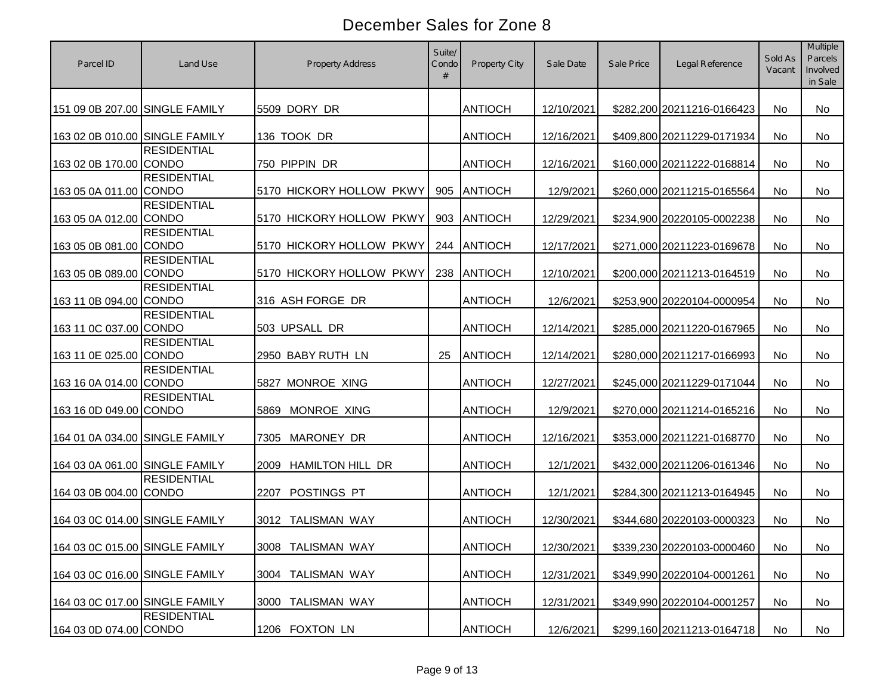| Parcel ID                      | Land Use           | <b>Property Address</b>         | Suite/<br>Condo<br># | Property City  | Sale Date  | Sale Price | Legal Reference            | Sold As<br>Vacant | <b>Multiple</b><br>Parcels<br>Involved<br>in Sale |
|--------------------------------|--------------------|---------------------------------|----------------------|----------------|------------|------------|----------------------------|-------------------|---------------------------------------------------|
| 151 09 0B 207.00 SINGLE FAMILY |                    | 5509 DORY DR                    |                      | <b>ANTIOCH</b> | 12/10/2021 |            | \$282,200 20211216-0166423 | No                | No                                                |
| 163 02 0B 010.00 SINGLE FAMILY |                    | 136 TOOK DR                     |                      | <b>ANTIOCH</b> | 12/16/2021 |            | \$409,800 20211229-0171934 | No                | <b>No</b>                                         |
| 163 02 0B 170.00 CONDO         | <b>RESIDENTIAL</b> | 750 PIPPIN DR                   |                      | <b>ANTIOCH</b> | 12/16/2021 |            | \$160,000 20211222-0168814 | No                | <b>No</b>                                         |
| 163 05 0A 011.00 CONDO         | <b>RESIDENTIAL</b> | 5170 HICKORY HOLLOW PKWY        | 905                  | <b>ANTIOCH</b> | 12/9/2021  |            | \$260,000 20211215-0165564 | No                | <b>No</b>                                         |
| 163 05 0A 012.00 CONDO         | <b>RESIDENTIAL</b> | 5170 HICKORY HOLLOW PKWY        | 903                  | <b>ANTIOCH</b> | 12/29/2021 |            | \$234,900 20220105-0002238 | No                | <b>No</b>                                         |
| 163 05 0B 081.00 CONDO         | <b>RESIDENTIAL</b> | 5170 HICKORY HOLLOW PKWY        | 244                  | <b>ANTIOCH</b> | 12/17/2021 |            | \$271,000 20211223-0169678 | No                | <b>No</b>                                         |
| 163 05 0B 089.00 CONDO         | <b>RESIDENTIAL</b> | 5170 HICKORY HOLLOW PKWY        | 238                  | <b>ANTIOCH</b> | 12/10/2021 |            | \$200,000 20211213-0164519 | No                | No                                                |
| 163 11 0B 094.00 CONDO         | <b>RESIDENTIAL</b> | 316 ASH FORGE DR                |                      | <b>ANTIOCH</b> | 12/6/2021  |            | \$253,900 20220104-0000954 | No                | No                                                |
| 163 11 0C 037.00 CONDO         | <b>RESIDENTIAL</b> | 503 UPSALL DR                   |                      | <b>ANTIOCH</b> | 12/14/2021 |            | \$285,000 20211220-0167965 | No                | <b>No</b>                                         |
| 163 11 0E 025.00 CONDO         | <b>RESIDENTIAL</b> | 2950 BABY RUTH LN               | 25                   | <b>ANTIOCH</b> | 12/14/2021 |            | \$280,000 20211217-0166993 | No                | No                                                |
| 163 16 0A 014.00 CONDO         | <b>RESIDENTIAL</b> | 5827 MONROE XING                |                      | ANTIOCH        | 12/27/2021 |            | \$245,000 20211229-0171044 | No                | No                                                |
| 163 16 0D 049.00 CONDO         | <b>RESIDENTIAL</b> | MONROE XING<br>5869             |                      | <b>ANTIOCH</b> | 12/9/2021  |            | \$270,000 20211214-0165216 | <b>No</b>         | <b>No</b>                                         |
| 164 01 0A 034.00 SINGLE FAMILY |                    | MARONEY DR<br>7305              |                      | <b>ANTIOCH</b> | 12/16/2021 |            | \$353,000 20211221-0168770 | No                | No                                                |
| 164 03 0A 061.00 SINGLE FAMILY |                    | <b>HAMILTON HILL DR</b><br>2009 |                      | <b>ANTIOCH</b> | 12/1/2021  |            | \$432,000 20211206-0161346 | <b>No</b>         | No                                                |
| 164 03 0B 004.00 CONDO         | <b>RESIDENTIAL</b> | POSTINGS PT<br>2207             |                      | <b>ANTIOCH</b> | 12/1/2021  |            | \$284,300 20211213-0164945 | <b>No</b>         | No                                                |
| 164 03 0C 014.00 SINGLE FAMILY |                    | 3012 TALISMAN WAY               |                      | <b>ANTIOCH</b> | 12/30/2021 |            | \$344,680 20220103-0000323 | <b>No</b>         | No                                                |
| 164 03 0C 015.00 SINGLE FAMILY |                    | 3008 TALISMAN WAY               |                      | <b>ANTIOCH</b> | 12/30/2021 |            | \$339,230 20220103-0000460 | No                | No                                                |
| 164 03 0C 016.00 SINGLE FAMILY |                    | 3004 TALISMAN WAY               |                      | <b>ANTIOCH</b> | 12/31/2021 |            | \$349,990 20220104-0001261 | No                | No                                                |
| 164 03 0C 017.00 SINGLE FAMILY |                    | 3000 TALISMAN WAY               |                      | <b>ANTIOCH</b> | 12/31/2021 |            | \$349,990 20220104-0001257 | No                | No                                                |
| 164 03 0D 074.00 CONDO         | <b>RESIDENTIAL</b> | 1206 FOXTON LN                  |                      | <b>ANTIOCH</b> | 12/6/2021  |            | \$299,160 20211213-0164718 | No                | No                                                |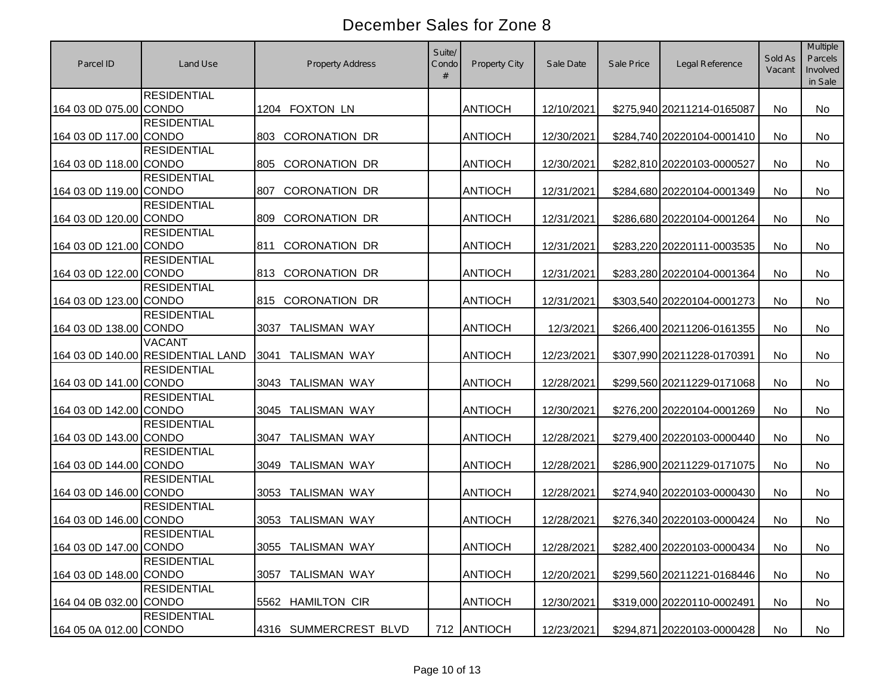| Parcel ID              | Land Use                                           | <b>Property Address</b>     | Suite/<br>Condo<br># | Property City  | Sale Date  | Sale Price | Legal Reference            | Sold As<br>Vacant | <b>Multiple</b><br>Parcels<br>Involved<br>in Sale |
|------------------------|----------------------------------------------------|-----------------------------|----------------------|----------------|------------|------------|----------------------------|-------------------|---------------------------------------------------|
| 164 03 0D 075.00 CONDO | <b>RESIDENTIAL</b>                                 | 1204 FOXTON LN              |                      | <b>ANTIOCH</b> | 12/10/2021 |            | \$275,940 20211214-0165087 | No.               | <b>No</b>                                         |
| 164 03 0D 117.00 CONDO | <b>RESIDENTIAL</b>                                 | <b>CORONATION DR</b><br>803 |                      | <b>ANTIOCH</b> | 12/30/2021 |            | \$284,740 20220104-0001410 | <b>No</b>         | <b>No</b>                                         |
| 164 03 0D 118.00 CONDO | <b>RESIDENTIAL</b>                                 | 805<br><b>CORONATION DR</b> |                      | <b>ANTIOCH</b> | 12/30/2021 |            | \$282,810 20220103-0000527 | No.               | <b>No</b>                                         |
| 164 03 0D 119.00 CONDO | <b>RESIDENTIAL</b>                                 | 807<br><b>CORONATION DR</b> |                      | <b>ANTIOCH</b> | 12/31/2021 |            | \$284,680 20220104-0001349 | No                | <b>No</b>                                         |
| 164 03 0D 120.00 CONDO | <b>RESIDENTIAL</b>                                 | <b>CORONATION DR</b><br>809 |                      | <b>ANTIOCH</b> | 12/31/2021 |            | \$286,680 20220104-0001264 | No                | <b>No</b>                                         |
| 164 03 0D 121.00 CONDO | <b>RESIDENTIAL</b>                                 | <b>CORONATION DR</b><br>811 |                      | <b>ANTIOCH</b> | 12/31/2021 |            | \$283,220 20220111-0003535 | No                | No                                                |
| 164 03 0D 122.00 CONDO | <b>RESIDENTIAL</b>                                 | <b>CORONATION DR</b><br>813 |                      | <b>ANTIOCH</b> | 12/31/2021 |            | \$283,280 20220104-0001364 | No                | <b>No</b>                                         |
| 164 03 0D 123.00 CONDO | <b>RESIDENTIAL</b>                                 | <b>CORONATION DR</b><br>815 |                      | <b>ANTIOCH</b> | 12/31/2021 |            | \$303,540 20220104-0001273 | No                | <b>No</b>                                         |
| 164 03 0D 138.00 CONDO | <b>RESIDENTIAL</b>                                 | <b>TALISMAN WAY</b><br>3037 |                      | <b>ANTIOCH</b> | 12/3/2021  |            | \$266,400 20211206-0161355 | No.               | <b>No</b>                                         |
|                        | <b>VACANT</b><br>164 03 0D 140.00 RESIDENTIAL LAND | <b>TALISMAN WAY</b><br>3041 |                      | <b>ANTIOCH</b> | 12/23/2021 |            | \$307,990 20211228-0170391 | No                | No                                                |
| 164 03 0D 141.00 CONDO | <b>RESIDENTIAL</b>                                 | <b>TALISMAN WAY</b><br>3043 |                      | <b>ANTIOCH</b> | 12/28/2021 |            | \$299,560 20211229-0171068 | No                | <b>No</b>                                         |
| 164 03 0D 142.00 CONDO | <b>RESIDENTIAL</b>                                 | <b>TALISMAN WAY</b><br>3045 |                      | <b>ANTIOCH</b> | 12/30/2021 |            | \$276,200 20220104-0001269 | No                | <b>No</b>                                         |
| 164 03 0D 143.00 CONDO | <b>RESIDENTIAL</b>                                 | <b>TALISMAN WAY</b><br>3047 |                      | <b>ANTIOCH</b> | 12/28/2021 |            | \$279,400 20220103-0000440 | No.               | <b>No</b>                                         |
| 164 03 0D 144.00 CONDO | <b>RESIDENTIAL</b>                                 | <b>TALISMAN WAY</b><br>3049 |                      | <b>ANTIOCH</b> | 12/28/2021 |            | \$286,900 20211229-0171075 | <b>No</b>         | <b>No</b>                                         |
| 164 03 0D 146.00 CONDO | <b>RESIDENTIAL</b>                                 | 3053<br><b>TALISMAN WAY</b> |                      | <b>ANTIOCH</b> | 12/28/2021 |            | \$274,940 20220103-0000430 | <b>No</b>         | <b>No</b>                                         |
| 164 03 0D 146.00 CONDO | <b>RESIDENTIAL</b>                                 | <b>TALISMAN WAY</b><br>3053 |                      | <b>ANTIOCH</b> | 12/28/2021 |            | \$276,340 20220103-0000424 | <b>No</b>         | No                                                |
| 164 03 0D 147.00 CONDO | <b>RESIDENTIAL</b>                                 | 3055 TALISMAN WAY           |                      | <b>ANTIOCH</b> | 12/28/2021 |            | \$282,400 20220103-0000434 | No                | No                                                |
| 164 03 0D 148.00 CONDO | <b>RESIDENTIAL</b>                                 | 3057 TALISMAN WAY           |                      | <b>ANTIOCH</b> | 12/20/2021 |            | \$299,560 20211221-0168446 | No                | No                                                |
| 164 04 0B 032.00 CONDO | <b>RESIDENTIAL</b>                                 | 5562 HAMILTON CIR           |                      | <b>ANTIOCH</b> | 12/30/2021 |            | \$319,000 20220110-0002491 | No                | No                                                |
| 164 05 0A 012.00 CONDO | <b>RESIDENTIAL</b>                                 | 4316 SUMMERCREST BLVD       |                      | 712 ANTIOCH    | 12/23/2021 |            | \$294,871 20220103-0000428 | No                | No                                                |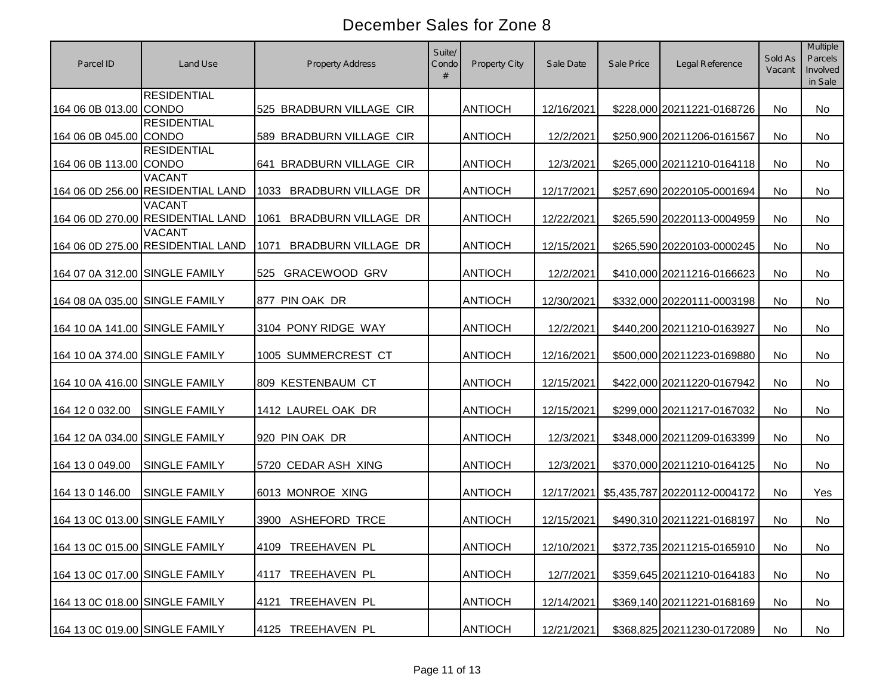| Parcel ID                      | Land Use                                           | <b>Property Address</b>            | Suite/<br>Condo<br># | Property City  | Sale Date  | Sale Price | Legal Reference              | Sold As<br>Vacant | Multiple<br>Parcels<br>Involved<br>in Sale |
|--------------------------------|----------------------------------------------------|------------------------------------|----------------------|----------------|------------|------------|------------------------------|-------------------|--------------------------------------------|
| 164 06 0B 013.00 CONDO         | <b>RESIDENTIAL</b>                                 | 525 BRADBURN VILLAGE CIR           |                      | <b>ANTIOCH</b> | 12/16/2021 |            | \$228,000 20211221-0168726   | No                | No                                         |
| 164 06 0B 045.00 CONDO         | <b>RESIDENTIAL</b>                                 | 589 BRADBURN VILLAGE CIR           |                      | <b>ANTIOCH</b> | 12/2/2021  |            | \$250,900 20211206-0161567   | <b>No</b>         | <b>No</b>                                  |
| 164 06 0B 113.00 CONDO         | <b>RESIDENTIAL</b>                                 | 641 BRADBURN VILLAGE CIR           |                      | <b>ANTIOCH</b> | 12/3/2021  |            | \$265,000 20211210-0164118   | <b>No</b>         | <b>No</b>                                  |
|                                | <b>VACANT</b><br>164 06 0D 256.00 RESIDENTIAL LAND | <b>BRADBURN VILLAGE DR</b><br>1033 |                      | <b>ANTIOCH</b> | 12/17/2021 |            | \$257,690 20220105-0001694   | No                | No                                         |
|                                | <b>VACANT</b><br>164 06 0D 270.00 RESIDENTIAL LAND | 1061<br><b>BRADBURN VILLAGE DR</b> |                      | <b>ANTIOCH</b> | 12/22/2021 |            | \$265,590 20220113-0004959   | No                | No                                         |
|                                | <b>VACANT</b><br>164 06 0D 275.00 RESIDENTIAL LAND | 1071<br>BRADBURN VILLAGE DR        |                      | <b>ANTIOCH</b> | 12/15/2021 |            | \$265,590 20220103-0000245   | No                | No                                         |
| 164 07 0A 312.00 SINGLE FAMILY |                                                    | <b>GRACEWOOD GRV</b><br>525        |                      | <b>ANTIOCH</b> | 12/2/2021  |            | \$410,000 20211216-0166623   | No                | No                                         |
| 164 08 0A 035.00 SINGLE FAMILY |                                                    | 877 PIN OAK DR                     |                      | <b>ANTIOCH</b> | 12/30/2021 |            | \$332,000 20220111-0003198   | No                | <b>No</b>                                  |
| 164 10 0A 141.00 SINGLE FAMILY |                                                    | 3104 PONY RIDGE WAY                |                      | <b>ANTIOCH</b> | 12/2/2021  |            | \$440,200 20211210-0163927   | No                | No                                         |
| 164 10 0A 374.00 SINGLE FAMILY |                                                    | 1005 SUMMERCREST CT                |                      | <b>ANTIOCH</b> | 12/16/2021 |            | \$500,000 20211223-0169880   | No                | No                                         |
| 164 10 0A 416.00 SINGLE FAMILY |                                                    | 809 KESTENBAUM CT                  |                      | <b>ANTIOCH</b> | 12/15/2021 |            | \$422,000 20211220-0167942   | No                | No                                         |
| 164 12 0 032.00                | <b>SINGLE FAMILY</b>                               | 1412 LAUREL OAK DR                 |                      | <b>ANTIOCH</b> | 12/15/2021 |            | \$299,000 20211217-0167032   | No                | <b>No</b>                                  |
| 164 12 0A 034.00 SINGLE FAMILY |                                                    | 920 PIN OAK DR                     |                      | <b>ANTIOCH</b> | 12/3/2021  |            | \$348,000 20211209-0163399   | No                | <b>No</b>                                  |
| 164 13 0 049.00                | <b>SINGLE FAMILY</b>                               | 5720 CEDAR ASH XING                |                      | <b>ANTIOCH</b> | 12/3/2021  |            | \$370,000 20211210-0164125   | <b>No</b>         | <b>No</b>                                  |
| 164 13 0 146.00                | <b>SINGLE FAMILY</b>                               | 6013 MONROE XING                   |                      | <b>ANTIOCH</b> | 12/17/2021 |            | \$5,435,787 20220112-0004172 | No                | Yes                                        |
| 164 13 0C 013.00 SINGLE FAMILY |                                                    | ASHEFORD TRCE<br>3900              |                      | <b>ANTIOCH</b> | 12/15/2021 |            | \$490,310 20211221-0168197   | No                | No                                         |
| 164 13 0C 015.00 SINGLE FAMILY |                                                    | 4109 TREEHAVEN PL                  |                      | <b>ANTIOCH</b> | 12/10/2021 |            | \$372,735 20211215-0165910   | No                | No                                         |
| 164 13 0C 017.00 SINGLE FAMILY |                                                    | TREEHAVEN PL<br>4117               |                      | <b>ANTIOCH</b> | 12/7/2021  |            | \$359,645 20211210-0164183   | No                | No                                         |
| 164 13 0C 018.00 SINGLE FAMILY |                                                    | TREEHAVEN PL<br>4121               |                      | <b>ANTIOCH</b> | 12/14/2021 |            | \$369,140 20211221-0168169   | No                | No                                         |
| 164 13 0C 019.00 SINGLE FAMILY |                                                    | 4125 TREEHAVEN PL                  |                      | <b>ANTIOCH</b> | 12/21/2021 |            | \$368,825 20211230-0172089   | No                | No                                         |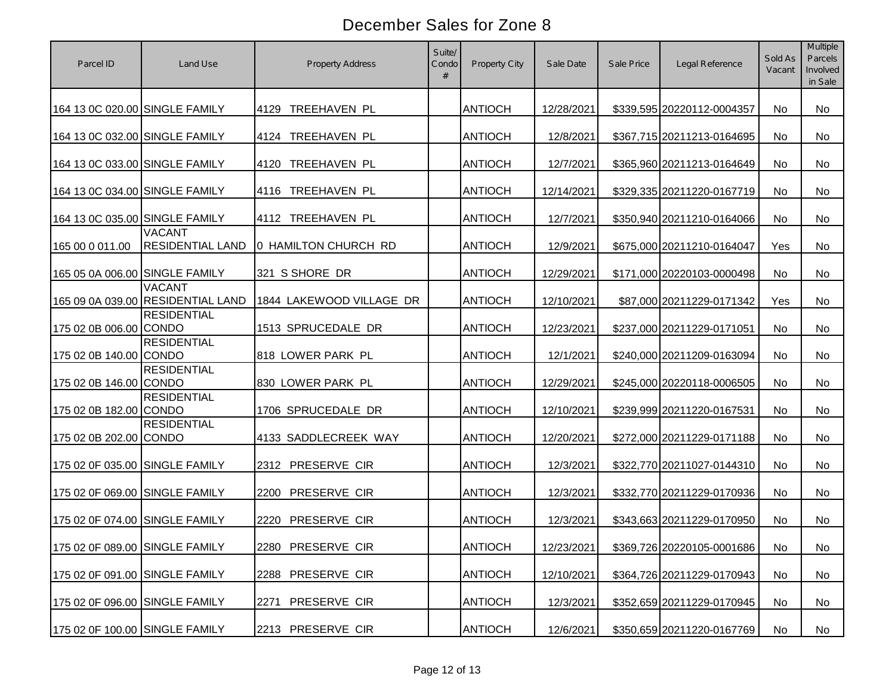| Parcel ID                      | Land Use                                           | <b>Property Address</b>  | Suite/<br>Condo<br># | Property City  | Sale Date  | Sale Price | Legal Reference            | Sold As<br>Vacant | <b>Multiple</b><br>Parcels<br>Involved<br>in Sale |
|--------------------------------|----------------------------------------------------|--------------------------|----------------------|----------------|------------|------------|----------------------------|-------------------|---------------------------------------------------|
| 164 13 0C 020.00 SINGLE FAMILY |                                                    | TREEHAVEN PL<br>4129     |                      | <b>ANTIOCH</b> | 12/28/2021 |            | \$339,595 20220112-0004357 | No                | <b>No</b>                                         |
| 164 13 0C 032.00 SINGLE FAMILY |                                                    | TREEHAVEN PL<br>4124     |                      | <b>ANTIOCH</b> | 12/8/2021  |            | \$367,715 20211213-0164695 | No                | <b>No</b>                                         |
| 164 13 0C 033.00 SINGLE FAMILY |                                                    | TREEHAVEN PL<br>4120     |                      | <b>ANTIOCH</b> | 12/7/2021  |            | \$365,960 20211213-0164649 | No                | <b>No</b>                                         |
| 164 13 0C 034.00 SINGLE FAMILY |                                                    | TREEHAVEN PL<br>4116     |                      | <b>ANTIOCH</b> | 12/14/2021 |            | \$329,335 20211220-0167719 | No                | <b>No</b>                                         |
| 164 13 0C 035.00 SINGLE FAMILY |                                                    | 4112 TREEHAVEN PL        |                      | <b>ANTIOCH</b> | 12/7/2021  |            | \$350,940 20211210-0164066 | No                | <b>No</b>                                         |
| 165 00 0 011.00                | <b>VACANT</b><br><b>RESIDENTIAL LAND</b>           | 0 HAMILTON CHURCH RD     |                      | <b>ANTIOCH</b> | 12/9/2021  |            | \$675,000 20211210-0164047 | Yes               | <b>No</b>                                         |
| 165 05 0A 006.00 SINGLE FAMILY |                                                    | 321 S SHORE DR           |                      | <b>ANTIOCH</b> | 12/29/2021 |            | \$171,000 20220103-0000498 | No                | No                                                |
|                                | <b>VACANT</b><br>165 09 0A 039.00 RESIDENTIAL LAND | 1844 LAKEWOOD VILLAGE DR |                      | <b>ANTIOCH</b> | 12/10/2021 |            | \$87,000 20211229-0171342  | Yes               | <b>No</b>                                         |
| 175 02 0B 006.00 CONDO         | <b>RESIDENTIAL</b>                                 | 1513 SPRUCEDALE DR       |                      | <b>ANTIOCH</b> | 12/23/2021 |            | \$237,000 20211229-0171051 | No                | <b>No</b>                                         |
| 175 02 0B 140.00 CONDO         | <b>RESIDENTIAL</b>                                 | 818 LOWER PARK PL        |                      | <b>ANTIOCH</b> | 12/1/2021  |            | \$240,000 20211209-0163094 | No                | No                                                |
| 175 02 0B 146.00 CONDO         | <b>RESIDENTIAL</b>                                 | 830 LOWER PARK PL        |                      | ANTIOCH        | 12/29/2021 |            | \$245,000 20220118-0006505 | No                | No                                                |
| 175 02 0B 182.00 CONDO         | <b>RESIDENTIAL</b>                                 | 1706 SPRUCEDALE DR       |                      | <b>ANTIOCH</b> | 12/10/2021 |            | \$239,999 20211220-0167531 | No.               | <b>No</b>                                         |
| 175 02 0B 202.00               | <b>RESIDENTIAL</b><br><b>CONDO</b>                 | 4133 SADDLECREEK WAY     |                      | <b>ANTIOCH</b> | 12/20/2021 |            | \$272,000 20211229-0171188 | No                | No                                                |
| 175 02 0F 035.00 SINGLE FAMILY |                                                    | 2312 PRESERVE CIR        |                      | <b>ANTIOCH</b> | 12/3/2021  |            | \$322,770 20211027-0144310 | No.               | No                                                |
| 175 02 0F 069.00 SINGLE FAMILY |                                                    | PRESERVE CIR<br>2200     |                      | <b>ANTIOCH</b> | 12/3/2021  |            | \$332,770 20211229-0170936 | No.               | No                                                |
| 175 02 0F 074.00 SINGLE FAMILY |                                                    | PRESERVE CIR<br>2220     |                      | <b>ANTIOCH</b> | 12/3/2021  |            | \$343,663 20211229-0170950 | No.               | No                                                |
| 175 02 0F 089.00 SINGLE FAMILY |                                                    | 2280 PRESERVE CIR        |                      | <b>ANTIOCH</b> | 12/23/2021 |            | \$369,726 20220105-0001686 | No                | No                                                |
| 175 02 0F 091.00 SINGLE FAMILY |                                                    | 2288 PRESERVE CIR        |                      | <b>ANTIOCH</b> | 12/10/2021 |            | \$364,726 20211229-0170943 | No                | No                                                |
| 175 02 0F 096.00 SINGLE FAMILY |                                                    | PRESERVE CIR<br>2271     |                      | <b>ANTIOCH</b> | 12/3/2021  |            | \$352,659 20211229-0170945 | No                | No                                                |
| 175 02 0F 100.00 SINGLE FAMILY |                                                    | 2213 PRESERVE CIR        |                      | <b>ANTIOCH</b> | 12/6/2021  |            | \$350,659 20211220-0167769 | No                | No                                                |